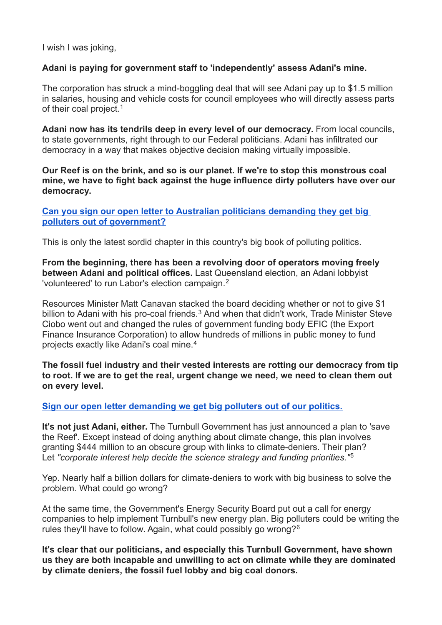I wish I was joking,

## **Adani is paying for government staff to 'independently' assess Adani's mine.**

The corporation has struck a mind-boggling deal that will see Adani pay up to \$1.5 million in salaries, housing and vehicle costs for council employees who will directly assess parts of their coal project.<sup>1</sup>

**Adani now has its tendrils deep in every level of our democracy.** From local councils, to state governments, right through to our Federal politicians. Adani has infiltrated our democracy in a way that makes objective decision making virtually impossible.

**Our Reef is on the brink, and so is our planet. If we're to stop this monstrous coal mine, we have to fight back against the huge influence dirty polluters have over our democracy.**

**[Can you sign our open letter to Australian politicians demanding they get big](https://www.getup.org.au/campaigns/climate-action-now/get-big-polluters-out-of-our-politics/get-big-polluters-out-of-our-politics?t=2Y794cm4D&utm_content=25459&utm_campaign=Adani_has_officially_infiltrated_our_Government&utm_source=blast&utm_medium=email)  [polluters out of government?](https://www.getup.org.au/campaigns/climate-action-now/get-big-polluters-out-of-our-politics/get-big-polluters-out-of-our-politics?t=2Y794cm4D&utm_content=25459&utm_campaign=Adani_has_officially_infiltrated_our_Government&utm_source=blast&utm_medium=email)**

This is only the latest sordid chapter in this country's big book of polluting politics.

**From the beginning, there has been a revolving door of operators moving freely between Adani and political offices.** Last Queensland election, an Adani lobbyist 'volunteered' to run Labor's election campaign.<sup>2</sup>

Resources Minister Matt Canavan stacked the board deciding whether or not to give \$1 billion to Adani with his pro-coal friends.<sup>3</sup> And when that didn't work, Trade Minister Steve Ciobo went out and changed the rules of government funding body EFIC (the Export Finance Insurance Corporation) to allow hundreds of millions in public money to fund projects exactly like Adani's coal mine.<sup>4</sup>

**The fossil fuel industry and their vested interests are rotting our democracy from tip to root. If we are to get the real, urgent change we need, we need to clean them out on every level.**

## **[Sign our open letter demanding we get big polluters out of our politics.](https://www.getup.org.au/campaigns/climate-action-now/get-big-polluters-out-of-our-politics/get-big-polluters-out-of-our-politics?t=2Y794cm4D&utm_content=25459&utm_campaign=Adani_has_officially_infiltrated_our_Government&utm_source=blast&utm_medium=email)**

**It's not just Adani, either.** The Turnbull Government has just announced a plan to 'save the Reef'. Except instead of doing anything about climate change, this plan involves granting \$444 million to an obscure group with links to climate-deniers. Their plan? Let *"corporate interest help decide the science strategy and funding priorities."*<sup>5</sup>

Yep. Nearly half a billion dollars for climate-deniers to work with big business to solve the problem. What could go wrong?

At the same time, the Government's Energy Security Board put out a call for energy companies to help implement Turnbull's new energy plan. Big polluters could be writing the rules they'll have to follow. Again, what could possibly go wrong?<sup>6</sup>

**It's clear that our politicians, and especially this Turnbull Government, have shown us they are both incapable and unwilling to act on climate while they are dominated by climate deniers, the fossil fuel lobby and big coal donors.**